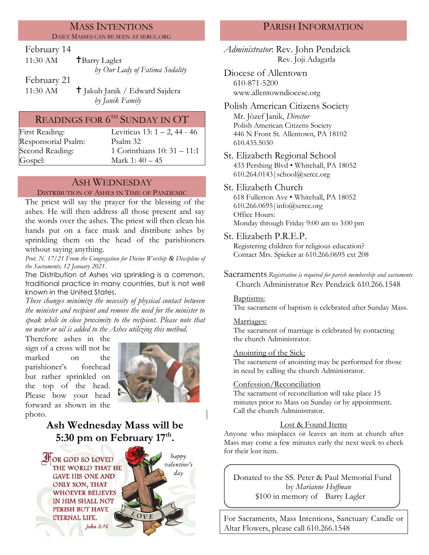#### MASS INTENTIONS DAILY MASSES CAN BE SEEN AT SERCC.ORG

## February 14

| 11:30 AM | <b>T</b> Barry Lagler          |
|----------|--------------------------------|
|          | by Our Lady of Fatima Sodality |

February 21

11:30 AM **T** Jakub Janik / Edward Sajdera *by Janik Family*

# READINGS FOR  $6^{\text{\tiny{TH}}}$  SUNDAY IN  $\text{OT}$

Responsorial Psalm: [Psalm](http://www.usccb.org/bible/readings/bible/psalms/25:4) 32 Gospel: Mark 1: 40 – 45

First Reading: Leviticus 13: 1 – 2, 44 - 46 Second Reading: 1 Corinthians 10: 31 – 11:1

# ASH WEDNESDAY

#### DISTRIBUTION OF ASHES IN TIME OF PANDEMIC

The priest will say the prayer for the blessing of the ashes. He will then address all those present and say the words over the ashes. The priest will then clean his hands put on a face mask and distribute ashes by sprinkling them on the head of the parishioners without saying anything*.*

*Prot. N. 17/21 From the Congregation for Divine Worship & Discipline of the Sacraments, 12 January 2021.*

The Distribution of Ashes via sprinkling is a common, traditional practice in many countries, but is not well known in the United States.

*These changes minimize the necessity of physical contact between the minister and recipient and remove the need for the minister to speak while in close proximity to the recipient. Please note that no water or oil is added to the Ashes utilizing this method.*

Therefore ashes in the sign of a cross will not be marked on the parishioner's forehead but rather sprinkled on the top of the head. Please bow your head forward as shown in the photo.



# **Ash Wednesday Mass will be 5:30 pm on February 17th .**



# PARISH INFORMATION

*Administrator*: Rev. John Pendzick Rev. Joji Adagatla

Diocese of Allentown 610-871-5200 www.allentowndiocese.org

Polish American Citizens Society Mr. Jòzef Janik, *Director* Polish American Citizens Society 446 N Front St. Allentown, PA 18102 610.435.5030

St. Elizabeth Regional School 433 Pershing Blvd • Whitehall, PA 18052 610.264.0143|school@sercc.org

### St. Elizabeth Church

618 Fullerton Ave • Whitehall, PA 18052 610.266.0695|info@sercc.org Office Hours: Monday through Friday 9:00 am to 3:00 pm

St. Elizabeth P.R.E.P.

Registering children for religious education? Contact Mrs. Spieker at 610.266.0695 ext 208

Sacraments *Registration is required for parish membership and sacraments* Church Administrator Rev Pendzick 610.266.1548

#### Baptisms:

The sacrament of baptism is celebrated after Sunday Mass.

#### Marriages:

The sacrament of marriage is celebrated by contacting the church Administrator.

#### Anointing of the Sick:

The sacrament of anointing may be performed for those in need by calling the church Administrator.

#### Confession/Reconciliation

The sacrament of reconciliation will take place 15 minutes prior to Mass on Sunday or by appointment. Call the church Administrator.

### Lost & Found Items

Anyone who misplaces or leaves an item at church after Mass may come a few minutes early the next week to check for their lost item.

Donated to the SS. Peter & Paul Memorial Fund by *Marianne Hoffman* \$100 in memory of Barry Lagler

For Sacraments, Mass Intentions, Sanctuary Candle or Altar Flowers, please call 610.266.1548